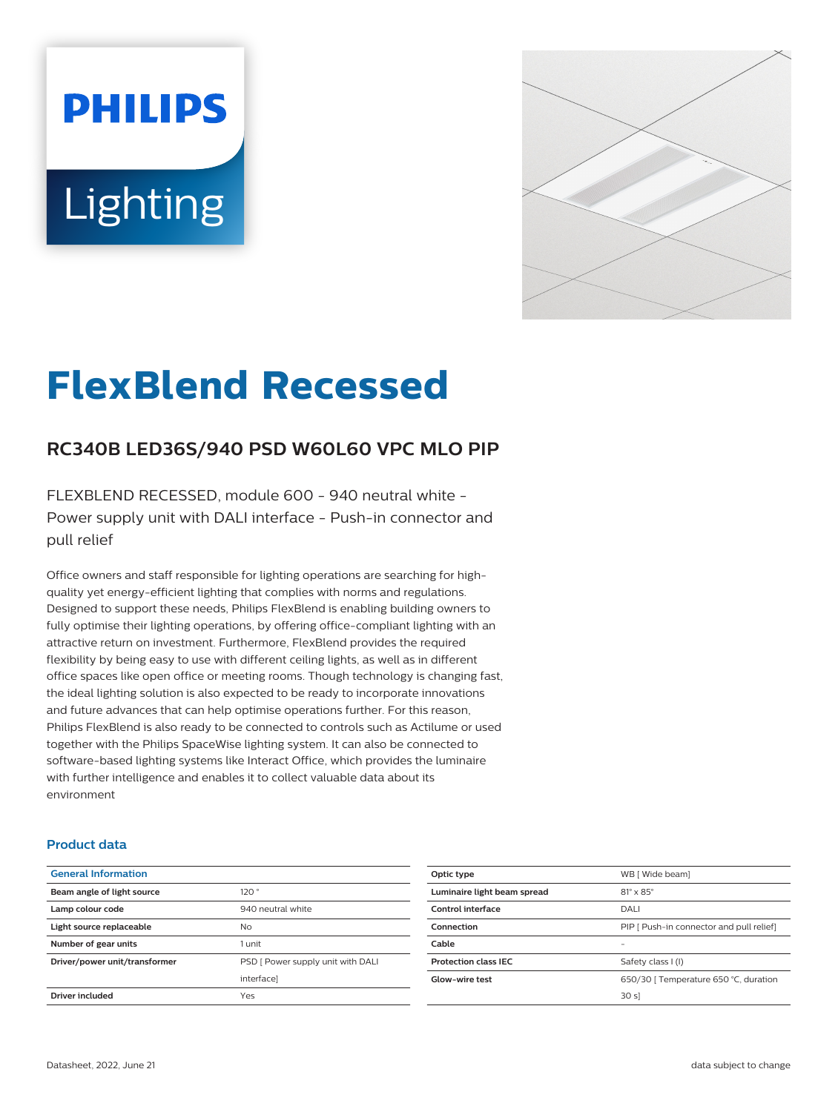# **PHILIPS Lighting**



# **FlexBlend Recessed**

# **RC340B LED36S/940 PSD W60L60 VPC MLO PIP**

FLEXBLEND RECESSED, module 600 - 940 neutral white - Power supply unit with DALI interface - Push-in connector and pull relief

Office owners and staff responsible for lighting operations are searching for highquality yet energy-efficient lighting that complies with norms and regulations. Designed to support these needs, Philips FlexBlend is enabling building owners to fully optimise their lighting operations, by offering office-compliant lighting with an attractive return on investment. Furthermore, FlexBlend provides the required flexibility by being easy to use with different ceiling lights, as well as in different office spaces like open office or meeting rooms. Though technology is changing fast, the ideal lighting solution is also expected to be ready to incorporate innovations and future advances that can help optimise operations further. For this reason, Philips FlexBlend is also ready to be connected to controls such as Actilume or used together with the Philips SpaceWise lighting system. It can also be connected to software-based lighting systems like Interact Office, which provides the luminaire with further intelligence and enables it to collect valuable data about its environment

#### **Product data**

| <b>General Information</b>    |                                   |
|-------------------------------|-----------------------------------|
| Beam angle of light source    | 120°                              |
| Lamp colour code              | 940 neutral white                 |
| Light source replaceable      | N <sub>o</sub>                    |
| Number of gear units          | 1 unit                            |
| Driver/power unit/transformer | PSD [ Power supply unit with DALI |
|                               | interfacel                        |
| Driver included               | Yes                               |
|                               |                                   |

| Optic type                  | WB [ Wide beam]                          |
|-----------------------------|------------------------------------------|
| Luminaire light beam spread | $81^\circ \times 85^\circ$               |
| Control interface           | DALI                                     |
| Connection                  | PIP [ Push-in connector and pull relief] |
| Cable                       | -                                        |
| <b>Protection class IEC</b> | Safety class I (I)                       |
| <b>Glow-wire test</b>       | 650/30   Temperature 650 °C, duration    |
|                             | 30 sl                                    |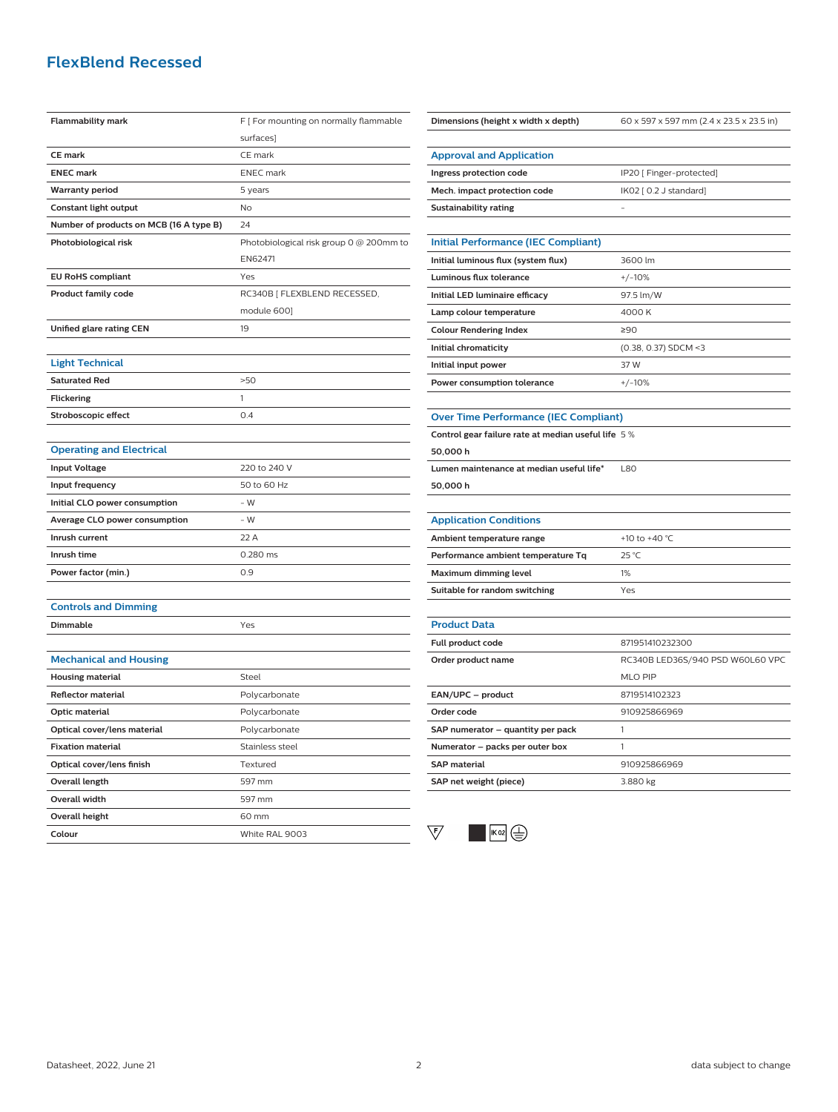## **FlexBlend Recessed**

| <b>Flammability mark</b>                | F [ For mounting on normally flammable  |
|-----------------------------------------|-----------------------------------------|
|                                         | surfaces]                               |
| <b>CE</b> mark                          | CE mark                                 |
| <b>ENEC mark</b>                        | <b>ENEC</b> mark                        |
| <b>Warranty period</b>                  | 5 years                                 |
| Constant light output                   | <b>No</b>                               |
| Number of products on MCB (16 A type B) | 24                                      |
| Photobiological risk                    | Photobiological risk group 0 @ 200mm to |
|                                         | EN62471                                 |
| <b>EU RoHS compliant</b>                | Yes                                     |
| <b>Product family code</b>              | RC340B [ FLEXBLEND RECESSED,            |
|                                         | module 600]                             |
| Unified glare rating CEN                | 19                                      |
|                                         |                                         |
| <b>Light Technical</b>                  |                                         |
| <b>Saturated Red</b>                    | >50                                     |
| <b>Flickering</b>                       | 1                                       |
| Stroboscopic effect                     | 0.4                                     |
|                                         |                                         |
| <b>Operating and Electrical</b>         |                                         |
| <b>Input Voltage</b>                    | 220 to 240 V                            |
| Input frequency                         | 50 to 60 Hz                             |
| Initial CLO power consumption           | $-W$                                    |
| Average CLO power consumption           | - W                                     |
| Inrush current                          | 22 A                                    |
| Inrush time                             | 0.280 ms                                |
| Power factor (min.)                     | 0.9                                     |
|                                         |                                         |
| <b>Controls and Dimming</b>             |                                         |
| Dimmable                                | Yes                                     |
|                                         |                                         |
| <b>Mechanical and Housing</b>           |                                         |
| <b>Housing material</b>                 | Steel                                   |
| <b>Reflector material</b>               | Polycarbonate                           |
| Optic material                          | Polycarbonate                           |
| Optical cover/lens material             | Polycarbonate                           |
| <b>Fixation material</b>                | Stainless steel                         |
| Optical cover/lens finish               | Textured                                |
| <b>Overall length</b>                   | 597 mm                                  |
| Overall width                           | 597 mm                                  |
| <b>Overall height</b>                   | 60 mm                                   |
| Colour                                  | White RAL 9003                          |

| Dimensions (height x width x depth)                | 60 x 597 x 597 mm (2.4 x 23.5 x 23.5 in) |
|----------------------------------------------------|------------------------------------------|
|                                                    |                                          |
| <b>Approval and Application</b>                    |                                          |
| Ingress protection code                            | IP20 [ Finger-protected]                 |
| Mech. impact protection code                       | IK02 [ 0.2 J standard]                   |
| <b>Sustainability rating</b>                       |                                          |
|                                                    |                                          |
| <b>Initial Performance (IEC Compliant)</b>         |                                          |
| Initial luminous flux (system flux)                | 3600 lm                                  |
| Luminous flux tolerance                            | $+/-10%$                                 |
| Initial LED luminaire efficacy                     | 97.5 lm/W                                |
| Lamp colour temperature                            | 4000 K                                   |
| <b>Colour Rendering Index</b>                      | ≥90                                      |
| Initial chromaticity                               | (0.38, 0.37) SDCM <3                     |
| Initial input power                                | 37 W                                     |
| Power consumption tolerance                        | $+/-10%$                                 |
|                                                    |                                          |
| <b>Over Time Performance (IEC Compliant)</b>       |                                          |
| Control gear failure rate at median useful life 5% |                                          |
| 50,000 h                                           |                                          |
| Lumen maintenance at median useful life*           | <b>L80</b>                               |
| 50,000 h                                           |                                          |
|                                                    |                                          |
| <b>Application Conditions</b>                      |                                          |
| Ambient temperature range                          | +10 to +40 °C                            |
| Performance ambient temperature Tq                 | 25 °C                                    |
| Maximum dimming level                              | 1%                                       |
| Suitable for random switching                      | Yes                                      |
|                                                    |                                          |
| <b>Product Data</b>                                |                                          |
| Full product code                                  | 871951410232300                          |
| Order product name                                 | RC340B LED36S/940 PSD W60L60 VPC         |
|                                                    | MLO PIP                                  |
| EAN/UPC - product                                  | 8719514102323                            |
| Order code                                         | 910925866969                             |
| SAP numerator - quantity per pack                  | 1                                        |
| Numerator - packs per outer box                    | 1                                        |
| <b>SAP material</b>                                | 910925866969                             |
| SAP net weight (piece)                             | 3.880 kg                                 |